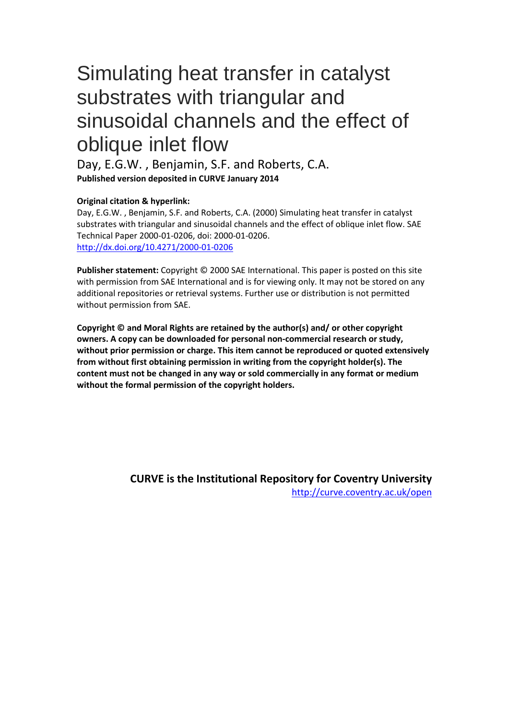# Simulating heat transfer in catalyst substrates with triangular and sinusoidal channels and the effect of oblique inlet flow

Day, E.G.W. , Benjamin, S.F. and Roberts, C.A. **Published version deposited in CURVE January 2014**

### **Original citation & hyperlink:**

Day, E.G.W. , Benjamin, S.F. and Roberts, C.A. (2000) Simulating heat transfer in catalyst substrates with triangular and sinusoidal channels and the effect of oblique inlet flow. SAE Technical Paper 2000-01-0206, doi: 2000-01-0206. <http://dx.doi.org/10.4271/2000-01-0206>

**Publisher statement:** Copyright © 2000 SAE International. This paper is posted on this site with permission from SAE International and is for viewing only. It may not be stored on any additional repositories or retrieval systems. Further use or distribution is not permitted without permission from SAE.

**Copyright © and Moral Rights are retained by the author(s) and/ or other copyright owners. A copy can be downloaded for personal non-commercial research or study, without prior permission or charge. This item cannot be reproduced or quoted extensively from without first obtaining permission in writing from the copyright holder(s). The content must not be changed in any way or sold commercially in any format or medium without the formal permission of the copyright holders.** 

> **CURVE is the Institutional Repository for Coventry University** <http://curve.coventry.ac.uk/open>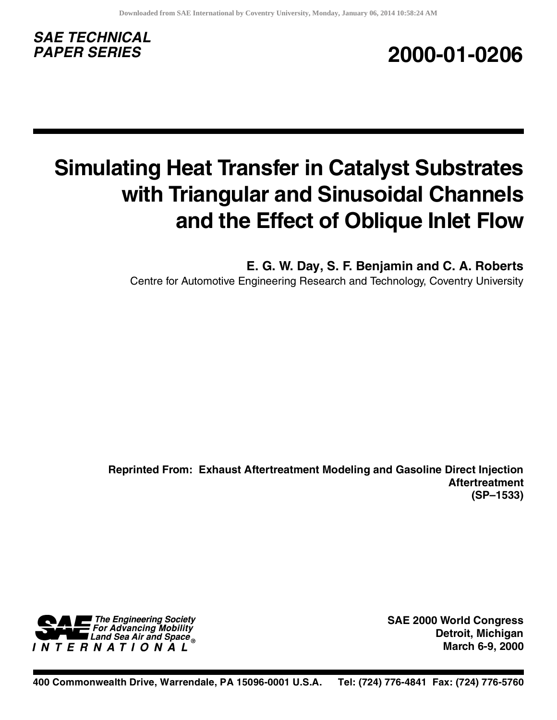



# **Simulating Heat Transfer in Catalyst Substrates with Triangular and Sinusoidal Channels and the Effect of Oblique Inlet Flow**

**E. G. W. Day, S. F. Benjamin and C. A. Roberts** Centre for Automotive Engineering Research and Technology, Coventry University

**Reprinted From: Exhaust Aftertreatment Modeling and Gasoline Direct Injection Aftertreatment (SP–1533)**

The Engineering Society<br>
For Advancing Mobility<br>
Land Sea Air and Space TERNATIONAL

**SAE 2000 World Congress Detroit, Michigan March 6-9, 2000**

**400 Commonwealth Drive, Warrendale, PA 15096-0001 U.S.A. Tel: (724) 776-4841 Fax: (724) 776-5760**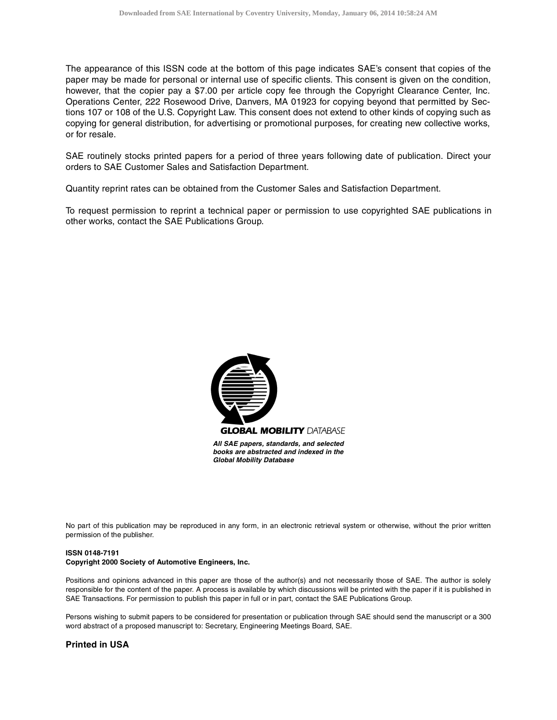The appearance of this ISSN code at the bottom of this page indicates SAE's consent that copies of the paper may be made for personal or internal use of specific clients. This consent is given on the condition, however, that the copier pay a \$7.00 per article copy fee through the Copyright Clearance Center, Inc. Operations Center, 222 Rosewood Drive, Danvers, MA 01923 for copying beyond that permitted by Sections 107 or 108 of the U.S. Copyright Law. This consent does not extend to other kinds of copying such as copying for general distribution, for advertising or promotional purposes, for creating new collective works, or for resale.

SAE routinely stocks printed papers for a period of three years following date of publication. Direct your orders to SAE Customer Sales and Satisfaction Department.

Quantity reprint rates can be obtained from the Customer Sales and Satisfaction Department.

To request permission to reprint a technical paper or permission to use copyrighted SAE publications in other works, contact the SAE Publications Group.



No part of this publication may be reproduced in any form, in an electronic retrieval system or otherwise, without the prior written permission of the publisher.

#### **ISSN 0148-7191 Copyright 2000 Society of Automotive Engineers, Inc.**

Positions and opinions advanced in this paper are those of the author(s) and not necessarily those of SAE. The author is solely responsible for the content of the paper. A process is available by which discussions will be printed with the paper if it is published in SAE Transactions. For permission to publish this paper in full or in part, contact the SAE Publications Group.

Persons wishing to submit papers to be considered for presentation or publication through SAE should send the manuscript or a 300 word abstract of a proposed manuscript to: Secretary, Engineering Meetings Board, SAE.

#### **Printed in USA**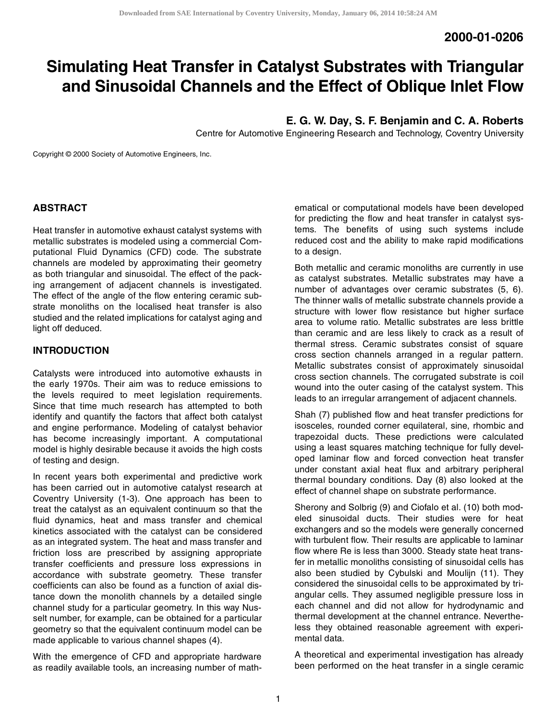### **2000-01-0206**

## **Simulating Heat Transfer in Catalyst Substrates with Triangular and Sinusoidal Channels and the Effect of Oblique Inlet Flow**

#### **E. G. W. Day, S. F. Benjamin and C. A. Roberts**

Centre for Automotive Engineering Research and Technology, Coventry University

Copyright © 2000 Society of Automotive Engineers, Inc.

#### **ABSTRACT**

Heat transfer in automotive exhaust catalyst systems with metallic substrates is modeled using a commercial Computational Fluid Dynamics (CFD) code. The substrate channels are modeled by approximating their geometry as both triangular and sinusoidal. The effect of the packing arrangement of adjacent channels is investigated. The effect of the angle of the flow entering ceramic substrate monoliths on the localised heat transfer is also studied and the related implications for catalyst aging and light off deduced.

#### **INTRODUCTION**

Catalysts were introduced into automotive exhausts in the early 1970s. Their aim was to reduce emissions to the levels required to meet legislation requirements. Since that time much research has attempted to both identify and quantify the factors that affect both catalyst and engine performance. Modeling of catalyst behavior has become increasingly important. A computational model is highly desirable because it avoids the high costs of testing and design.

In recent years both experimental and predictive work has been carried out in automotive catalyst research at Coventry University (1-3). One approach has been to treat the catalyst as an equivalent continuum so that the fluid dynamics, heat and mass transfer and chemical kinetics associated with the catalyst can be considered as an integrated system. The heat and mass transfer and friction loss are prescribed by assigning appropriate transfer coefficients and pressure loss expressions in accordance with substrate geometry. These transfer coefficients can also be found as a function of axial distance down the monolith channels by a detailed single channel study for a particular geometry. In this way Nusselt number, for example, can be obtained for a particular geometry so that the equivalent continuum model can be made applicable to various channel shapes (4).

With the emergence of CFD and appropriate hardware as readily available tools, an increasing number of mathematical or computational models have been developed for predicting the flow and heat transfer in catalyst systems. The benefits of using such systems include reduced cost and the ability to make rapid modifications to a design.

Both metallic and ceramic monoliths are currently in use as catalyst substrates. Metallic substrates may have a number of advantages over ceramic substrates (5, 6). The thinner walls of metallic substrate channels provide a structure with lower flow resistance but higher surface area to volume ratio. Metallic substrates are less brittle than ceramic and are less likely to crack as a result of thermal stress. Ceramic substrates consist of square cross section channels arranged in a regular pattern. Metallic substrates consist of approximately sinusoidal cross section channels. The corrugated substrate is coil wound into the outer casing of the catalyst system. This leads to an irregular arrangement of adjacent channels.

Shah (7) published flow and heat transfer predictions for isosceles, rounded corner equilateral, sine, rhombic and trapezoidal ducts. These predictions were calculated using a least squares matching technique for fully developed laminar flow and forced convection heat transfer under constant axial heat flux and arbitrary peripheral thermal boundary conditions. Day (8) also looked at the effect of channel shape on substrate performance.

Sherony and Solbrig (9) and Ciofalo et al. (10) both modeled sinusoidal ducts. Their studies were for heat exchangers and so the models were generally concerned with turbulent flow. Their results are applicable to laminar flow where Re is less than 3000. Steady state heat transfer in metallic monoliths consisting of sinusoidal cells has also been studied by Cybulski and Moulijn (11). They considered the sinusoidal cells to be approximated by triangular cells. They assumed negligible pressure loss in each channel and did not allow for hydrodynamic and thermal development at the channel entrance. Nevertheless they obtained reasonable agreement with experimental data.

A theoretical and experimental investigation has already been performed on the heat transfer in a single ceramic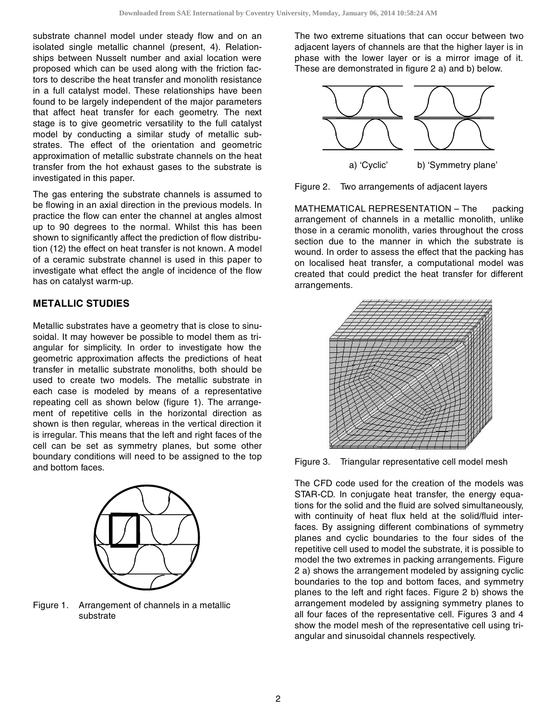substrate channel model under steady flow and on an isolated single metallic channel (present, 4). Relationships between Nusselt number and axial location were proposed which can be used along with the friction factors to describe the heat transfer and monolith resistance in a full catalyst model. These relationships have been found to be largely independent of the major parameters that affect heat transfer for each geometry. The next stage is to give geometric versatility to the full catalyst model by conducting a similar study of metallic substrates. The effect of the orientation and geometric approximation of metallic substrate channels on the heat transfer from the hot exhaust gases to the substrate is investigated in this paper.

The gas entering the substrate channels is assumed to be flowing in an axial direction in the previous models. In practice the flow can enter the channel at angles almost up to 90 degrees to the normal. Whilst this has been shown to significantly affect the prediction of flow distribution (12) the effect on heat transfer is not known. A model of a ceramic substrate channel is used in this paper to investigate what effect the angle of incidence of the flow has on catalyst warm-up.

### **METALLIC STUDIES**

Metallic substrates have a geometry that is close to sinusoidal. It may however be possible to model them as triangular for simplicity. In order to investigate how the geometric approximation affects the predictions of heat transfer in metallic substrate monoliths, both should be used to create two models. The metallic substrate in each case is modeled by means of a representative repeating cell as shown below (figure 1). The arrangement of repetitive cells in the horizontal direction as shown is then regular, whereas in the vertical direction it is irregular. This means that the left and right faces of the cell can be set as symmetry planes, but some other boundary conditions will need to be assigned to the top and bottom faces.



Figure 1. Arrangement of channels in a metallic substrate

The two extreme situations that can occur between two adjacent layers of channels are that the higher layer is in phase with the lower layer or is a mirror image of it. These are demonstrated in figure 2 a) and b) below.



Figure 2. Two arrangements of adjacent layers

MATHEMATICAL REPRESENTATION – The packing arrangement of channels in a metallic monolith, unlike those in a ceramic monolith, varies throughout the cross section due to the manner in which the substrate is wound. In order to assess the effect that the packing has on localised heat transfer, a computational model was created that could predict the heat transfer for different arrangements.



Figure 3. Triangular representative cell model mesh

The CFD code used for the creation of the models was STAR-CD. In conjugate heat transfer, the energy equations for the solid and the fluid are solved simultaneously, with continuity of heat flux held at the solid/fluid interfaces. By assigning different combinations of symmetry planes and cyclic boundaries to the four sides of the repetitive cell used to model the substrate, it is possible to model the two extremes in packing arrangements. Figure 2 a) shows the arrangement modeled by assigning cyclic boundaries to the top and bottom faces, and symmetry planes to the left and right faces. Figure 2 b) shows the arrangement modeled by assigning symmetry planes to all four faces of the representative cell. Figures 3 and 4 show the model mesh of the representative cell using triangular and sinusoidal channels respectively.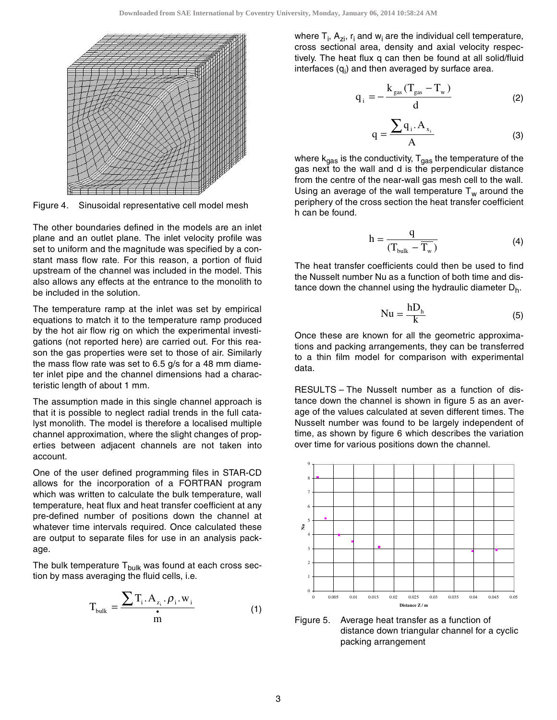

Figure 4. Sinusoidal representative cell model mesh

The other boundaries defined in the models are an inlet plane and an outlet plane. The inlet velocity profile was set to uniform and the magnitude was specified by a constant mass flow rate. For this reason, a portion of fluid upstream of the channel was included in the model. This also allows any effects at the entrance to the monolith to be included in the solution.

The temperature ramp at the inlet was set by empirical equations to match it to the temperature ramp produced by the hot air flow rig on which the experimental investigations (not reported here) are carried out. For this reason the gas properties were set to those of air. Similarly the mass flow rate was set to 6.5 g/s for a 48 mm diameter inlet pipe and the channel dimensions had a characteristic length of about 1 mm.

The assumption made in this single channel approach is that it is possible to neglect radial trends in the full catalyst monolith. The model is therefore a localised multiple channel approximation, where the slight changes of properties between adjacent channels are not taken into account.

One of the user defined programming files in STAR-CD allows for the incorporation of a FORTRAN program which was written to calculate the bulk temperature, wall temperature, heat flux and heat transfer coefficient at any pre-defined number of positions down the channel at whatever time intervals required. Once calculated these are output to separate files for use in an analysis package.

The bulk temperature  $T_{\text{bulk}}$  was found at each cross section by mass averaging the fluid cells, i.e.

$$
T_{\text{bulk}} = \frac{\sum T_i . A_{z_i} . \rho_i . w_i}{\hat{m}}
$$
 (1)

where T<sub>i</sub>, A<sub>zi</sub>, r<sub>i</sub> and w<sub>i</sub> are the individual cell temperature, cross sectional area, density and axial velocity respectively. The heat flux q can then be found at all solid/fluid interfaces (q<sub>i</sub>) and then averaged by surface area.

$$
q_{i} = -\frac{k_{\rm gas} (T_{\rm gas} - T_{\rm w})}{d}
$$
 (2)

$$
q = \frac{\sum q_i.A_{x_i}}{A}
$$
 (3)

where  $k_{gas}$  is the conductivity,  $T_{gas}$  the temperature of the gas next to the wall and d is the perpendicular distance from the centre of the near-wall gas mesh cell to the wall. Using an average of the wall temperature  $T_w$  around the periphery of the cross section the heat transfer coefficient h can be found.

$$
h = \frac{q}{(T_{\text{bulk}} - \overline{T_{\text{w}}})}
$$
(4)

The heat transfer coefficients could then be used to find the Nusselt number Nu as a function of both time and distance down the channel using the hydraulic diameter  $D_h$ .

$$
Nu = \frac{hD_h}{k}
$$
 (5)

Once these are known for all the geometric approximations and packing arrangements, they can be transferred to a thin film model for comparison with experimental data.

RESULTS – The Nusselt number as a function of distance down the channel is shown in figure 5 as an average of the values calculated at seven different times. The Nusselt number was found to be largely independent of time, as shown by figure 6 which describes the variation over time for various positions down the channel.



Figure 5. Average heat transfer as a function of distance down triangular channel for a cyclic packing arrangement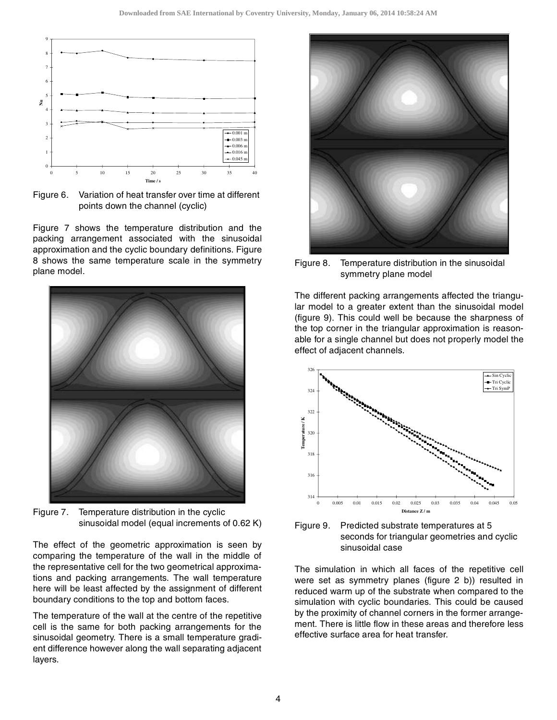

Figure 6. Variation of heat transfer over time at different points down the channel (cyclic)

Figure 7 shows the temperature distribution and the packing arrangement associated with the sinusoidal approximation and the cyclic boundary definitions. Figure 8 shows the same temperature scale in the symmetry plane model.



Figure 7. Temperature distribution in the cyclic sinusoidal model (equal increments of 0.62 K)

The effect of the geometric approximation is seen by comparing the temperature of the wall in the middle of the representative cell for the two geometrical approximations and packing arrangements. The wall temperature here will be least affected by the assignment of different boundary conditions to the top and bottom faces.

The temperature of the wall at the centre of the repetitive cell is the same for both packing arrangements for the sinusoidal geometry. There is a small temperature gradient difference however along the wall separating adjacent layers.



Figure 8. Temperature distribution in the sinusoidal symmetry plane model

The different packing arrangements affected the triangular model to a greater extent than the sinusoidal model (figure 9). This could well be because the sharpness of the top corner in the triangular approximation is reasonable for a single channel but does not properly model the effect of adjacent channels.



Figure 9. Predicted substrate temperatures at 5 seconds for triangular geometries and cyclic sinusoidal case

The simulation in which all faces of the repetitive cell were set as symmetry planes (figure 2 b)) resulted in reduced warm up of the substrate when compared to the simulation with cyclic boundaries. This could be caused by the proximity of channel corners in the former arrangement. There is little flow in these areas and therefore less effective surface area for heat transfer.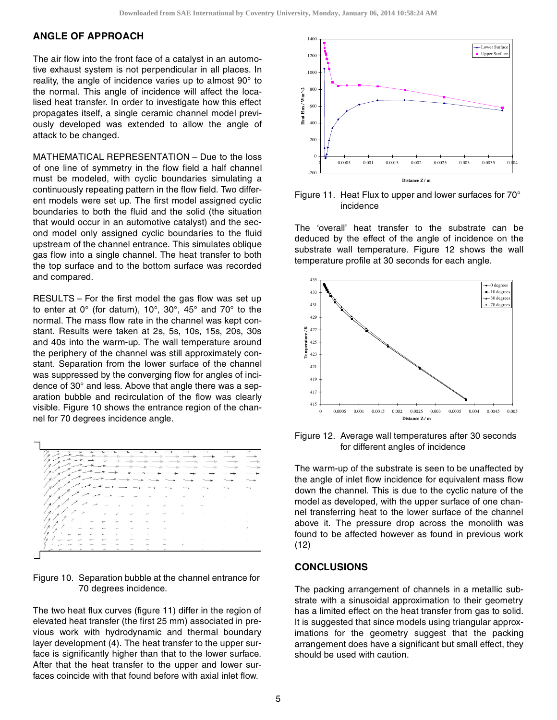#### **ANGLE OF APPROACH**

The air flow into the front face of a catalyst in an automotive exhaust system is not perpendicular in all places. In reality, the angle of incidence varies up to almost 90° to the normal. This angle of incidence will affect the localised heat transfer. In order to investigate how this effect propagates itself, a single ceramic channel model previously developed was extended to allow the angle of attack to be changed.

MATHEMATICAL REPRESENTATION – Due to the loss of one line of symmetry in the flow field a half channel must be modeled, with cyclic boundaries simulating a continuously repeating pattern in the flow field. Two different models were set up. The first model assigned cyclic boundaries to both the fluid and the solid (the situation that would occur in an automotive catalyst) and the second model only assigned cyclic boundaries to the fluid upstream of the channel entrance. This simulates oblique gas flow into a single channel. The heat transfer to both the top surface and to the bottom surface was recorded and compared.

RESULTS – For the first model the gas flow was set up to enter at 0° (for datum), 10°, 30°, 45° and 70° to the normal. The mass flow rate in the channel was kept constant. Results were taken at 2s, 5s, 10s, 15s, 20s, 30s and 40s into the warm-up. The wall temperature around the periphery of the channel was still approximately constant. Separation from the lower surface of the channel was suppressed by the converging flow for angles of incidence of 30° and less. Above that angle there was a separation bubble and recirculation of the flow was clearly visible. Figure 10 shows the entrance region of the channel for 70 degrees incidence angle.

|               |                             |                          |                          |    |      |              |            |        |                          | $-1$                    | <b>COLLA</b>                 | $\rightarrow$ | $\overline{\phantom{a}}$ |
|---------------|-----------------------------|--------------------------|--------------------------|----|------|--------------|------------|--------|--------------------------|-------------------------|------------------------------|---------------|--------------------------|
|               |                             |                          |                          |    |      |              |            | œ      | Ð<br>42                  |                         |                              |               |                          |
|               |                             |                          |                          |    |      |              |            | ÷      | ÷<br>÷                   | $\longrightarrow$       | ÷                            | ÷             |                          |
|               | r                           |                          |                          |    |      |              |            | ÷.     | ÷.<br>$\frac{1}{2}$      | $\longrightarrow$       | $\overbrace{\qquad \qquad }$ | s.            |                          |
| ₫             | $\pi$                       |                          |                          |    |      |              |            |        | ÷                        |                         | --                           |               |                          |
| $\mathcal{A}$ |                             |                          |                          |    |      |              |            |        |                          |                         |                              |               |                          |
|               | $\pi'$                      | A                        |                          |    |      |              |            |        |                          |                         |                              |               |                          |
| $\beta'$      | $g^{\prime}$                |                          |                          |    |      |              |            |        |                          |                         |                              |               |                          |
|               |                             | $\mathscr{R}$            |                          |    |      |              |            |        |                          |                         |                              |               |                          |
| ₫             | $\mathscr{B}^{\mathscr{A}}$ | $\overline{\phantom{a}}$ | ╱                        |    |      |              |            |        | ×.                       | $\mathbf{v}_\mathbf{z}$ | $\mathbf{v}$                 | -75           |                          |
|               |                             | $\mathcal{A}$<br>╱       |                          |    |      |              |            |        |                          |                         |                              |               |                          |
| ₫             | $\pi^{\prime}$              |                          | ╱                        | حس | ma.  |              | $\epsilon$ | ╱      | $\epsilon$               | ×                       | $\epsilon$                   | $\sim$        |                          |
| $\mathcal{A}$ | $\frac{1}{2}$               | z                        | ╱                        |    |      |              |            |        |                          | ٠                       | $\sim$                       | - 10          | $\sim$                   |
|               | $\diagup$                   |                          |                          |    | {    | ↙            | ×          | €      | ٣                        |                         |                              |               |                          |
| $\mathcal{A}$ |                             | $\mathcal{F}$            |                          |    |      |              | ÷          | ÷      | ÷                        | $\sim$                  |                              | $\sim$        | ٠                        |
| $\mathcal{A}$ | 1                           | $\sim 100$               | $\overline{\phantom{a}}$ |    |      | ÷            |            | ÷      | $\sim$                   | ٠                       |                              |               | ×                        |
|               | $\mathbf{L}$                |                          |                          |    |      |              |            |        |                          | ÷                       |                              |               |                          |
|               |                             | $\overline{\phantom{a}}$ |                          |    | -    | $\sim$       | -          | ÷      | -                        |                         |                              |               |                          |
|               | <b>Septime</b>              |                          |                          |    |      |              | -          | -      | $\overline{\phantom{a}}$ | $\sim$                  | ×                            |               |                          |
| 18            |                             |                          |                          |    |      |              |            |        |                          |                         |                              |               | w                        |
|               |                             |                          |                          |    | $+1$ | <b>Sept.</b> | $\sim$     | $\sim$ | $\sim$                   | Sept.                   | $\sim$                       | $\sim$        |                          |

Figure 10. Separation bubble at the channel entrance for 70 degrees incidence.

The two heat flux curves (figure 11) differ in the region of elevated heat transfer (the first 25 mm) associated in previous work with hydrodynamic and thermal boundary layer development (4). The heat transfer to the upper surface is significantly higher than that to the lower surface. After that the heat transfer to the upper and lower surfaces coincide with that found before with axial inlet flow.



Figure 11. Heat Flux to upper and lower surfaces for 70° incidence

The 'overall' heat transfer to the substrate can be deduced by the effect of the angle of incidence on the substrate wall temperature. Figure 12 shows the wall temperature profile at 30 seconds for each angle.



Figure 12. Average wall temperatures after 30 seconds for different angles of incidence

The warm-up of the substrate is seen to be unaffected by the angle of inlet flow incidence for equivalent mass flow down the channel. This is due to the cyclic nature of the model as developed, with the upper surface of one channel transferring heat to the lower surface of the channel above it. The pressure drop across the monolith was found to be affected however as found in previous work (12)

#### **CONCLUSIONS**

The packing arrangement of channels in a metallic substrate with a sinusoidal approximation to their geometry has a limited effect on the heat transfer from gas to solid. It is suggested that since models using triangular approximations for the geometry suggest that the packing arrangement does have a significant but small effect, they should be used with caution.